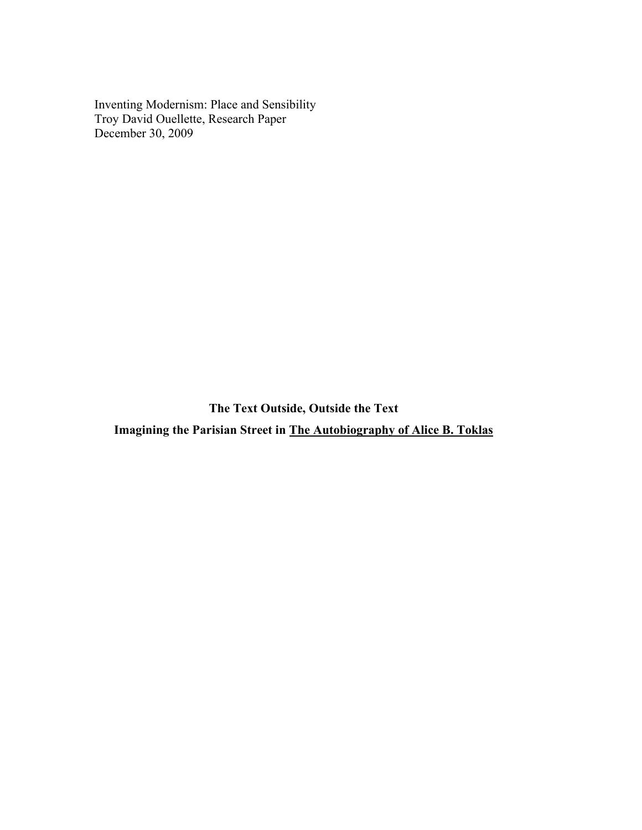Inventing Modernism: Place and Sensibility Troy David Ouellette, Research Paper December 30, 2009

**The Text Outside, Outside the Text Imagining the Parisian Street in The Autobiography of Alice B. Toklas**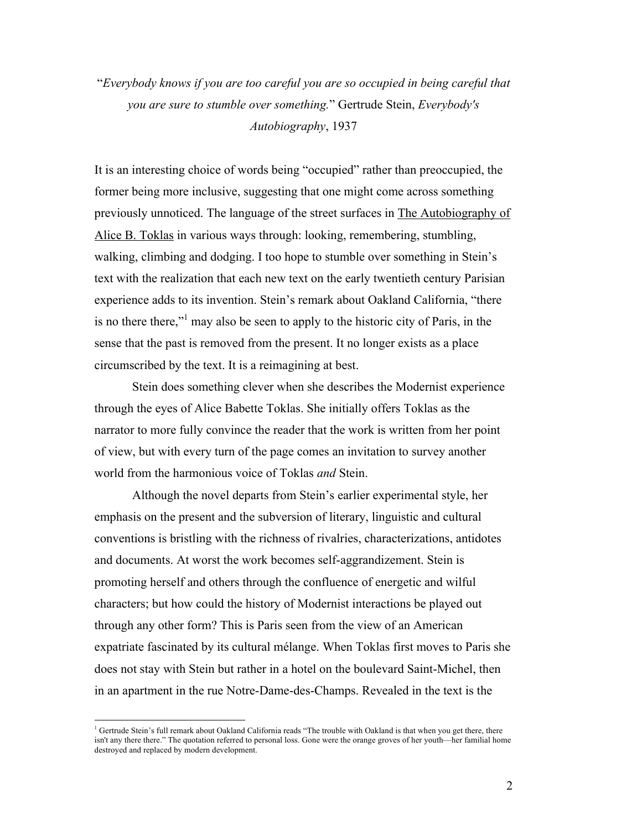"*Everybody knows if you are too careful you are so occupied in being careful that you are sure to stumble over something.*" Gertrude Stein, *Everybody's Autobiography*, 1937

It is an interesting choice of words being "occupied" rather than preoccupied, the former being more inclusive, suggesting that one might come across something previously unnoticed. The language of the street surfaces in The Autobiography of Alice B. Toklas in various ways through: looking, remembering, stumbling, walking, climbing and dodging. I too hope to stumble over something in Stein's text with the realization that each new text on the early twentieth century Parisian experience adds to its invention. Stein's remark about Oakland California, "there is no there there,"<sup>1</sup> may also be seen to apply to the historic city of Paris, in the sense that the past is removed from the present. It no longer exists as a place circumscribed by the text. It is a reimagining at best.

Stein does something clever when she describes the Modernist experience through the eyes of Alice Babette Toklas. She initially offers Toklas as the narrator to more fully convince the reader that the work is written from her point of view, but with every turn of the page comes an invitation to survey another world from the harmonious voice of Toklas *and* Stein.

Although the novel departs from Stein's earlier experimental style, her emphasis on the present and the subversion of literary, linguistic and cultural conventions is bristling with the richness of rivalries, characterizations, antidotes and documents. At worst the work becomes self-aggrandizement. Stein is promoting herself and others through the confluence of energetic and wilful characters; but how could the history of Modernist interactions be played out through any other form? This is Paris seen from the view of an American expatriate fascinated by its cultural mélange. When Toklas first moves to Paris she does not stay with Stein but rather in a hotel on the boulevard Saint-Michel, then in an apartment in the rue Notre-Dame-des-Champs. Revealed in the text is the

 $\frac{1}{1}$  $^1$  Gertrude Stein's full remark about Oakland California reads "The trouble with Oakland is that when you get there, there isn't any there there." The quotation referred to personal loss. Gone were the orange groves of her youth—her familial home destroyed and replaced by modern development.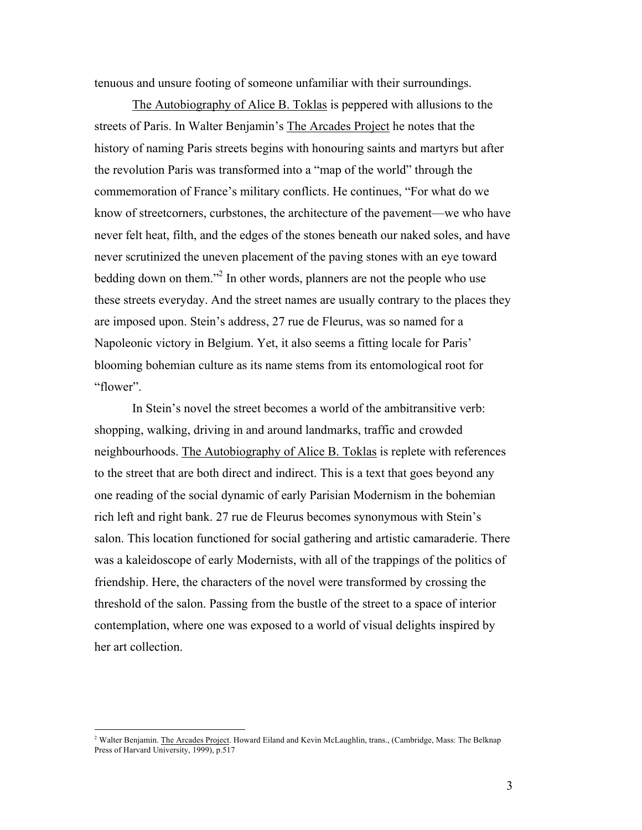tenuous and unsure footing of someone unfamiliar with their surroundings.

The Autobiography of Alice B. Toklas is peppered with allusions to the streets of Paris. In Walter Benjamin's The Arcades Project he notes that the history of naming Paris streets begins with honouring saints and martyrs but after the revolution Paris was transformed into a "map of the world" through the commemoration of France's military conflicts. He continues, "For what do we know of streetcorners, curbstones, the architecture of the pavement—we who have never felt heat, filth, and the edges of the stones beneath our naked soles, and have never scrutinized the uneven placement of the paving stones with an eye toward bedding down on them."<sup>2</sup> In other words, planners are not the people who use these streets everyday. And the street names are usually contrary to the places they are imposed upon. Stein's address, 27 rue de Fleurus, was so named for a Napoleonic victory in Belgium. Yet, it also seems a fitting locale for Paris' blooming bohemian culture as its name stems from its entomological root for "flower".

In Stein's novel the street becomes a world of the ambitransitive verb: shopping, walking, driving in and around landmarks, traffic and crowded neighbourhoods. The Autobiography of Alice B. Toklas is replete with references to the street that are both direct and indirect. This is a text that goes beyond any one reading of the social dynamic of early Parisian Modernism in the bohemian rich left and right bank. 27 rue de Fleurus becomes synonymous with Stein's salon. This location functioned for social gathering and artistic camaraderie. There was a kaleidoscope of early Modernists, with all of the trappings of the politics of friendship. Here, the characters of the novel were transformed by crossing the threshold of the salon. Passing from the bustle of the street to a space of interior contemplation, where one was exposed to a world of visual delights inspired by her art collection.

 $\frac{1}{2}$ <sup>2</sup> Walter Benjamin. The Arcades Project. Howard Eiland and Kevin McLaughlin, trans., (Cambridge, Mass: The Belknap Press of Harvard University, 1999), p.517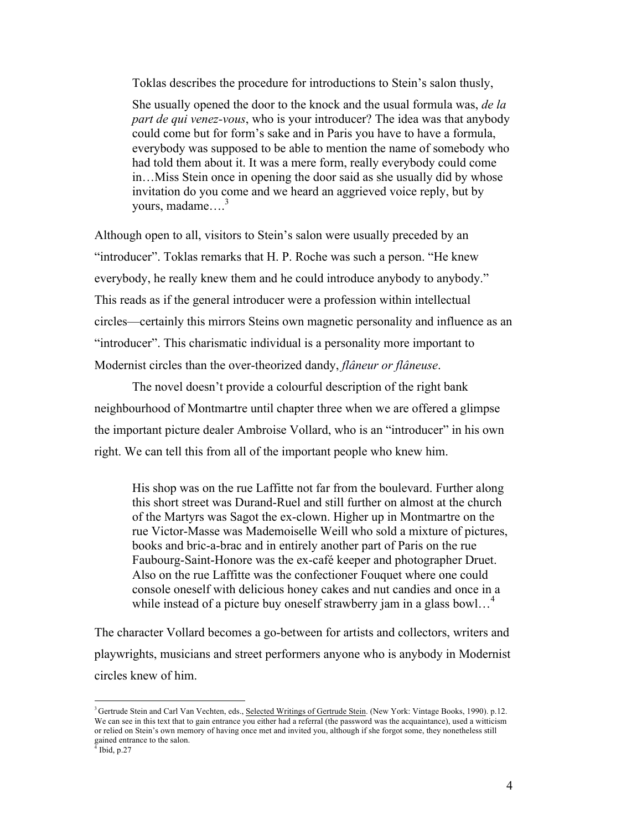Toklas describes the procedure for introductions to Stein's salon thusly,

She usually opened the door to the knock and the usual formula was, *de la part de qui venez-vous*, who is your introducer? The idea was that anybody could come but for form's sake and in Paris you have to have a formula, everybody was supposed to be able to mention the name of somebody who had told them about it. It was a mere form, really everybody could come in…Miss Stein once in opening the door said as she usually did by whose invitation do you come and we heard an aggrieved voice reply, but by vours, madame $\ldots$ <sup>3</sup>

Although open to all, visitors to Stein's salon were usually preceded by an "introducer". Toklas remarks that H. P. Roche was such a person. "He knew everybody, he really knew them and he could introduce anybody to anybody." This reads as if the general introducer were a profession within intellectual circles—certainly this mirrors Steins own magnetic personality and influence as an "introducer". This charismatic individual is a personality more important to Modernist circles than the over-theorized dandy, *flâneur or flâneuse*.

The novel doesn't provide a colourful description of the right bank neighbourhood of Montmartre until chapter three when we are offered a glimpse the important picture dealer Ambroise Vollard, who is an "introducer" in his own right. We can tell this from all of the important people who knew him.

His shop was on the rue Laffitte not far from the boulevard. Further along this short street was Durand-Ruel and still further on almost at the church of the Martyrs was Sagot the ex-clown. Higher up in Montmartre on the rue Victor-Masse was Mademoiselle Weill who sold a mixture of pictures, books and bric-a-brac and in entirely another part of Paris on the rue Faubourg-Saint-Honore was the ex-café keeper and photographer Druet. Also on the rue Laffitte was the confectioner Fouquet where one could console oneself with delicious honey cakes and nut candies and once in a while instead of a picture buy oneself strawberry jam in a glass bowl...<sup>4</sup>

The character Vollard becomes a go-between for artists and collectors, writers and playwrights, musicians and street performers anyone who is anybody in Modernist circles knew of him.

 <sup>3</sup> <sup>3</sup> Gertrude Stein and Carl Van Vechten, eds., Selected Writings of Gertrude Stein. (New York: Vintage Books, 1990). p.12. We can see in this text that to gain entrance you either had a referral (the password was the acquaintance), used a witticism or relied on Stein's own memory of having once met and invited you, although if she forgot some, they nonetheless still gained entrance to the salon.

 $\frac{4}{3}$  Ibid, p.27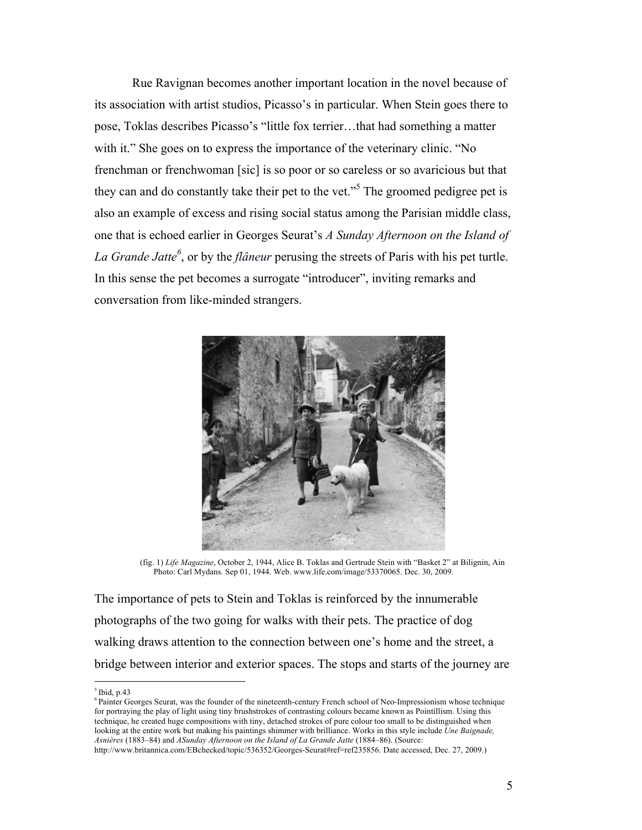Rue Ravignan becomes another important location in the novel because of its association with artist studios, Picasso's in particular. When Stein goes there to pose, Toklas describes Picasso's "little fox terrier…that had something a matter with it." She goes on to express the importance of the veterinary clinic. "No frenchman or frenchwoman [sic] is so poor or so careless or so avaricious but that they can and do constantly take their pet to the vet.<sup>55</sup> The groomed pedigree pet is also an example of excess and rising social status among the Parisian middle class, one that is echoed earlier in Georges Seurat's *A Sunday Afternoon on the Island of La Grande Jatte<sup>6</sup>* , or by the *flâneur* perusing the streets of Paris with his pet turtle. In this sense the pet becomes a surrogate "introducer", inviting remarks and conversation from like-minded strangers.



(fig. 1) *Life Magazine*, October 2, 1944, Alice B. Toklas and Gertrude Stein with "Basket 2" at Bilignin, Ain Photo: Carl Mydans. Sep 01, 1944. Web. www.life.com/image/53370065. Dec. 30, 2009.

The importance of pets to Stein and Toklas is reinforced by the innumerable photographs of the two going for walks with their pets. The practice of dog walking draws attention to the connection between one's home and the street, a bridge between interior and exterior spaces. The stops and starts of the journey are

 $<sup>5</sup>$  Ibid, p.43</sup>

<sup>6</sup> Painter Georges Seurat, was the founder of the nineteenth-century French school of Neo-Impressionism whose technique for portraying the play of light using tiny brushstrokes of contrasting colours became known as Pointillism. Using this technique, he created huge compositions with tiny, detached strokes of pure colour too small to be distinguished when looking at the entire work but making his paintings shimmer with brilliance. Works in this style include *Une Baignade, Asnières* (1883–84) and *ASunday Afternoon on the Island of La Grande Jatte* (1884–86). (Source:

http://www.britannica.com/EBchecked/topic/536352/Georges-Seurat#ref=ref235856. Date accessed, Dec. 27, 2009.)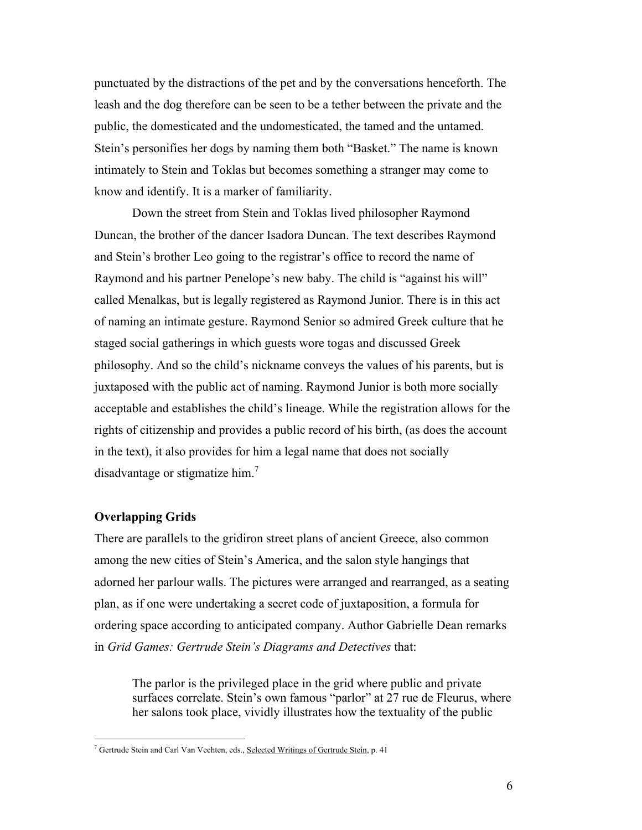punctuated by the distractions of the pet and by the conversations henceforth. The leash and the dog therefore can be seen to be a tether between the private and the public, the domesticated and the undomesticated, the tamed and the untamed. Stein's personifies her dogs by naming them both "Basket." The name is known intimately to Stein and Toklas but becomes something a stranger may come to know and identify. It is a marker of familiarity.

Down the street from Stein and Toklas lived philosopher Raymond Duncan, the brother of the dancer Isadora Duncan. The text describes Raymond and Stein's brother Leo going to the registrar's office to record the name of Raymond and his partner Penelope's new baby. The child is "against his will" called Menalkas, but is legally registered as Raymond Junior. There is in this act of naming an intimate gesture. Raymond Senior so admired Greek culture that he staged social gatherings in which guests wore togas and discussed Greek philosophy. And so the child's nickname conveys the values of his parents, but is juxtaposed with the public act of naming. Raymond Junior is both more socially acceptable and establishes the child's lineage. While the registration allows for the rights of citizenship and provides a public record of his birth, (as does the account in the text), it also provides for him a legal name that does not socially disadvantage or stigmatize him.<sup>7</sup>

# **Overlapping Grids**

There are parallels to the gridiron street plans of ancient Greece, also common among the new cities of Stein's America, and the salon style hangings that adorned her parlour walls. The pictures were arranged and rearranged, as a seating plan, as if one were undertaking a secret code of juxtaposition, a formula for ordering space according to anticipated company. Author Gabrielle Dean remarks in *Grid Games: Gertrude Stein's Diagrams and Detectives* that:

The parlor is the privileged place in the grid where public and private surfaces correlate. Stein's own famous "parlor" at 27 rue de Fleurus, where her salons took place, vividly illustrates how the textuality of the public

 $7$  Gertrude Stein and Carl Van Vechten, eds., Selected Writings of Gertrude Stein, p. 41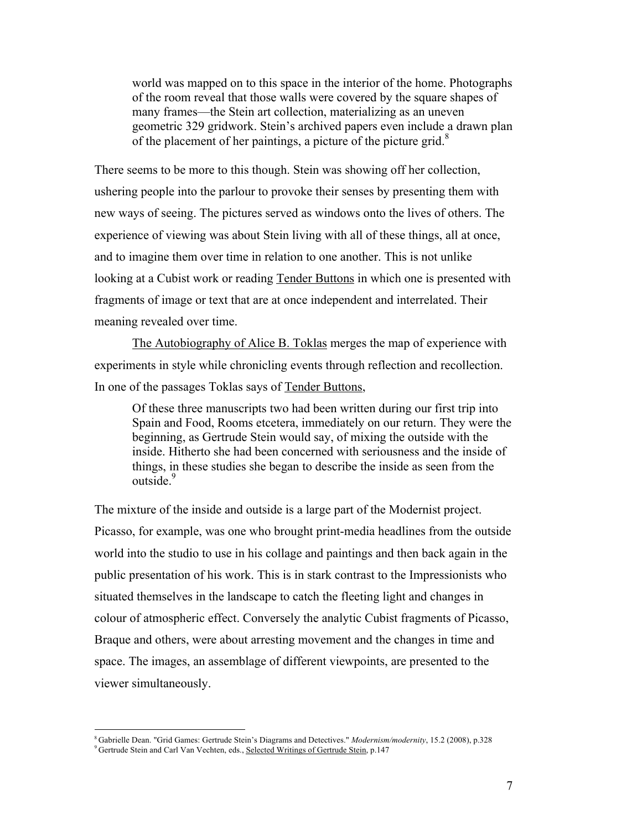world was mapped on to this space in the interior of the home. Photographs of the room reveal that those walls were covered by the square shapes of many frames—the Stein art collection, materializing as an uneven geometric 329 gridwork. Stein's archived papers even include a drawn plan of the placement of her paintings, a picture of the picture grid.<sup>8</sup>

There seems to be more to this though. Stein was showing off her collection, ushering people into the parlour to provoke their senses by presenting them with new ways of seeing. The pictures served as windows onto the lives of others. The experience of viewing was about Stein living with all of these things, all at once, and to imagine them over time in relation to one another. This is not unlike looking at a Cubist work or reading Tender Buttons in which one is presented with fragments of image or text that are at once independent and interrelated. Their meaning revealed over time.

The Autobiography of Alice B. Toklas merges the map of experience with experiments in style while chronicling events through reflection and recollection. In one of the passages Toklas says of Tender Buttons,

Of these three manuscripts two had been written during our first trip into Spain and Food, Rooms etcetera, immediately on our return. They were the beginning, as Gertrude Stein would say, of mixing the outside with the inside. Hitherto she had been concerned with seriousness and the inside of things, in these studies she began to describe the inside as seen from the outside.<sup>9</sup>

The mixture of the inside and outside is a large part of the Modernist project. Picasso, for example, was one who brought print-media headlines from the outside world into the studio to use in his collage and paintings and then back again in the public presentation of his work. This is in stark contrast to the Impressionists who situated themselves in the landscape to catch the fleeting light and changes in colour of atmospheric effect. Conversely the analytic Cubist fragments of Picasso, Braque and others, were about arresting movement and the changes in time and space. The images, an assemblage of different viewpoints, are presented to the viewer simultaneously.

 <sup>8</sup> Gabrielle Dean. "Grid Games: Gertrude Stein's Diagrams and Detectives." *Modernism/modernity*, 15.2 (2008), p.328

<sup>&</sup>lt;sup>9</sup> Gertrude Stein and Carl Van Vechten, eds., Selected Writings of Gertrude Stein, p.147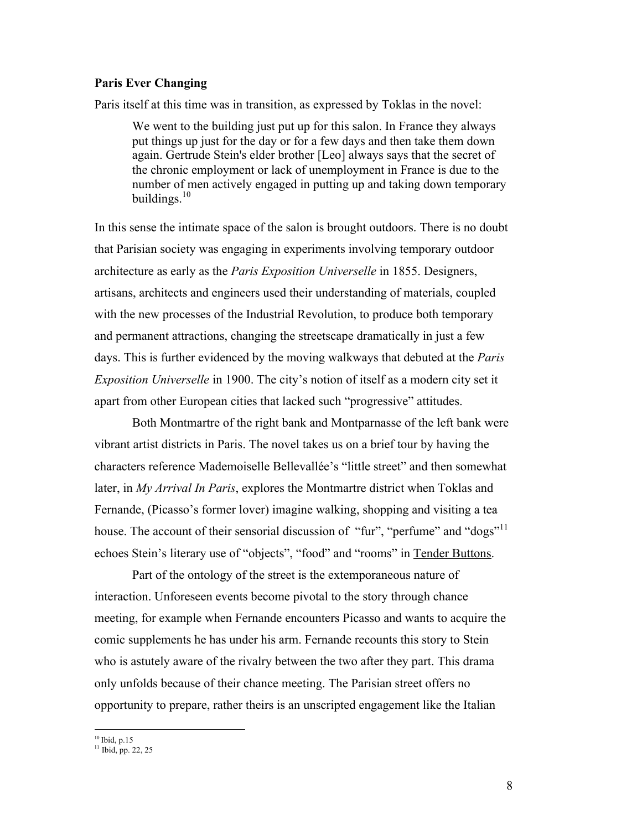# **Paris Ever Changing**

Paris itself at this time was in transition, as expressed by Toklas in the novel:

We went to the building just put up for this salon. In France they always put things up just for the day or for a few days and then take them down again. Gertrude Stein's elder brother [Leo] always says that the secret of the chronic employment or lack of unemployment in France is due to the number of men actively engaged in putting up and taking down temporary buildings. $10$ 

In this sense the intimate space of the salon is brought outdoors. There is no doubt that Parisian society was engaging in experiments involving temporary outdoor architecture as early as the *Paris Exposition Universelle* in 1855. Designers, artisans, architects and engineers used their understanding of materials, coupled with the new processes of the Industrial Revolution, to produce both temporary and permanent attractions, changing the streetscape dramatically in just a few days. This is further evidenced by the moving walkways that debuted at the *Paris Exposition Universelle* in 1900. The city's notion of itself as a modern city set it apart from other European cities that lacked such "progressive" attitudes.

Both Montmartre of the right bank and Montparnasse of the left bank were vibrant artist districts in Paris. The novel takes us on a brief tour by having the characters reference Mademoiselle Bellevallée's "little street" and then somewhat later, in *My Arrival In Paris*, explores the Montmartre district when Toklas and Fernande, (Picasso's former lover) imagine walking, shopping and visiting a tea house. The account of their sensorial discussion of "fur", "perfume" and "dogs"<sup>11</sup> echoes Stein's literary use of "objects", "food" and "rooms" in Tender Buttons.

Part of the ontology of the street is the extemporaneous nature of interaction. Unforeseen events become pivotal to the story through chance meeting, for example when Fernande encounters Picasso and wants to acquire the comic supplements he has under his arm. Fernande recounts this story to Stein who is astutely aware of the rivalry between the two after they part. This drama only unfolds because of their chance meeting. The Parisian street offers no opportunity to prepare, rather theirs is an unscripted engagement like the Italian

 $10$  Ibid, p.15

 $11$  Ibid, pp. 22, 25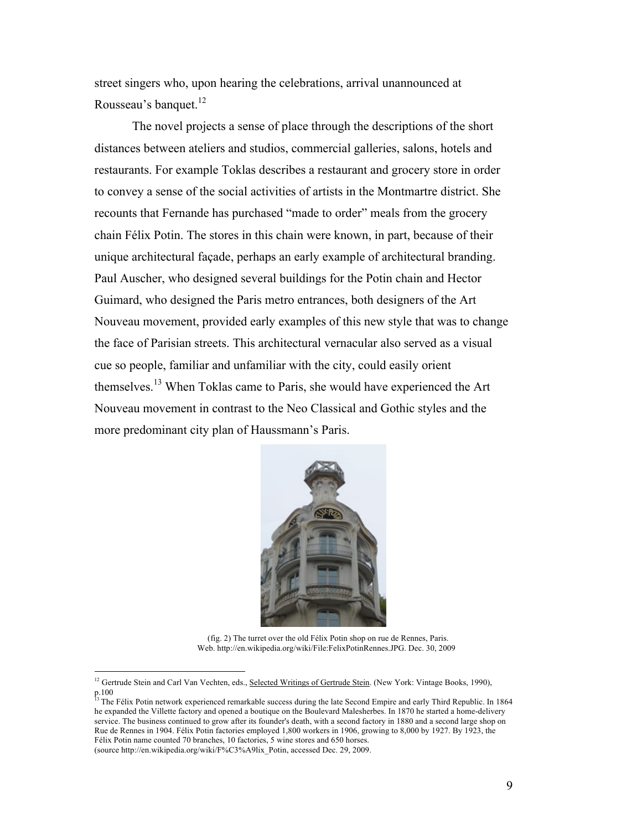street singers who, upon hearing the celebrations, arrival unannounced at Rousseau's banquet.<sup>12</sup>

The novel projects a sense of place through the descriptions of the short distances between ateliers and studios, commercial galleries, salons, hotels and restaurants. For example Toklas describes a restaurant and grocery store in order to convey a sense of the social activities of artists in the Montmartre district. She recounts that Fernande has purchased "made to order" meals from the grocery chain Félix Potin. The stores in this chain were known, in part, because of their unique architectural façade, perhaps an early example of architectural branding. Paul Auscher, who designed several buildings for the Potin chain and Hector Guimard, who designed the Paris metro entrances, both designers of the Art Nouveau movement, provided early examples of this new style that was to change the face of Parisian streets. This architectural vernacular also served as a visual cue so people, familiar and unfamiliar with the city, could easily orient themselves.<sup>13</sup> When Toklas came to Paris, she would have experienced the Art Nouveau movement in contrast to the Neo Classical and Gothic styles and the more predominant city plan of Haussmann's Paris.



(fig. 2) The turret over the old Félix Potin shop on rue de Rennes, Paris. Web. http://en.wikipedia.org/wiki/File:FelixPotinRennes.JPG. Dec. 30, 2009

<sup>&</sup>lt;sup>12</sup> Gertrude Stein and Carl Van Vechten, eds., Selected Writings of Gertrude Stein. (New York: Vintage Books, 1990), p.100

<sup>&</sup>lt;sup>13</sup> The Félix Potin network experienced remarkable success during the late Second Empire and early Third Republic. In 1864 he expanded the Villette factory and opened a boutique on the Boulevard Malesherbes. In 1870 he started a home-delivery service. The business continued to grow after its founder's death, with a second factory in 1880 and a second large shop on Rue de Rennes in 1904. Félix Potin factories employed 1,800 workers in 1906, growing to 8,000 by 1927. By 1923, the Félix Potin name counted 70 branches, 10 factories, 5 wine stores and 650 horses.

<sup>(</sup>source http://en.wikipedia.org/wiki/F%C3%A9lix\_Potin, accessed Dec. 29, 2009.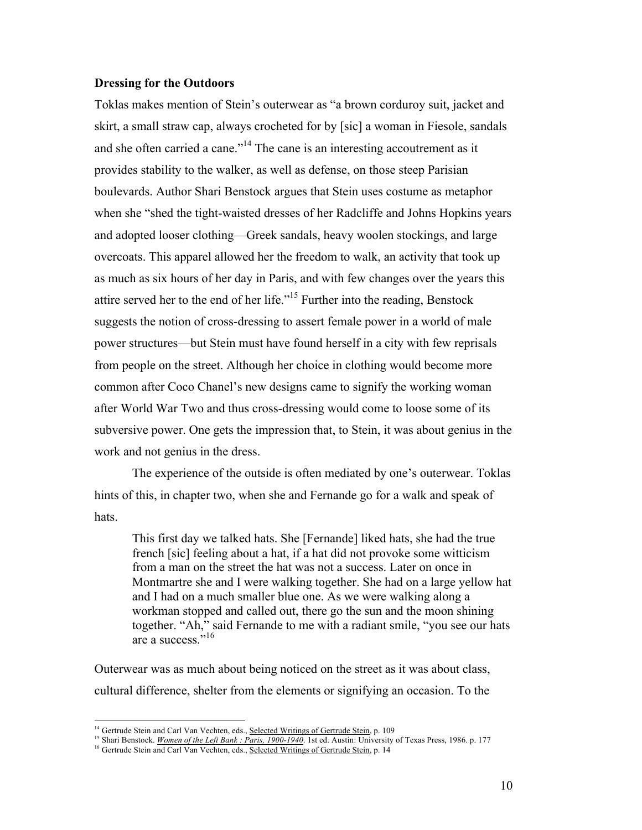### **Dressing for the Outdoors**

Toklas makes mention of Stein's outerwear as "a brown corduroy suit, jacket and skirt, a small straw cap, always crocheted for by [sic] a woman in Fiesole, sandals and she often carried a cane."<sup>14</sup> The cane is an interesting accoutrement as it provides stability to the walker, as well as defense, on those steep Parisian boulevards. Author Shari Benstock argues that Stein uses costume as metaphor when she "shed the tight-waisted dresses of her Radcliffe and Johns Hopkins years and adopted looser clothing—Greek sandals, heavy woolen stockings, and large overcoats. This apparel allowed her the freedom to walk, an activity that took up as much as six hours of her day in Paris, and with few changes over the years this attire served her to the end of her life."15 Further into the reading, Benstock suggests the notion of cross-dressing to assert female power in a world of male power structures—but Stein must have found herself in a city with few reprisals from people on the street. Although her choice in clothing would become more common after Coco Chanel's new designs came to signify the working woman after World War Two and thus cross-dressing would come to loose some of its subversive power. One gets the impression that, to Stein, it was about genius in the work and not genius in the dress.

The experience of the outside is often mediated by one's outerwear. Toklas hints of this, in chapter two, when she and Fernande go for a walk and speak of hats.

This first day we talked hats. She [Fernande] liked hats, she had the true french [sic] feeling about a hat, if a hat did not provoke some witticism from a man on the street the hat was not a success. Later on once in Montmartre she and I were walking together. She had on a large yellow hat and I had on a much smaller blue one. As we were walking along a workman stopped and called out, there go the sun and the moon shining together. "Ah," said Fernande to me with a radiant smile, "you see our hats are a success." 16

Outerwear was as much about being noticed on the street as it was about class, cultural difference, shelter from the elements or signifying an occasion. To the

<sup>&</sup>lt;sup>14</sup> Gertrude Stein and Carl Van Vechten, eds., Selected Writings of Gertrude Stein, p. 109

<sup>15</sup> Shari Benstock. *Women of the Left Bank : Paris, 1900-1940*. 1st ed. Austin: University of Texas Press, 1986. p. 177

<sup>&</sup>lt;sup>16</sup> Gertrude Stein and Carl Van Vechten, eds., Selected Writings of Gertrude Stein, p. 14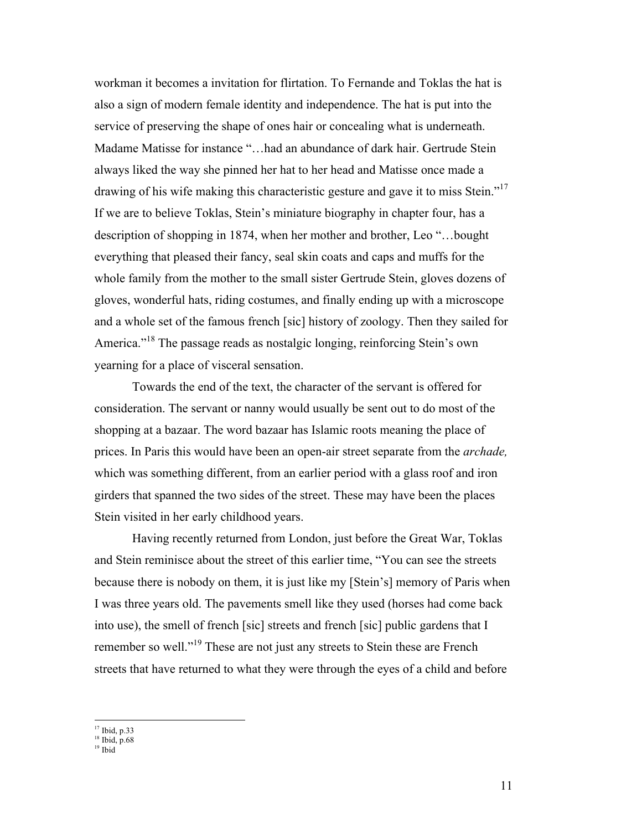workman it becomes a invitation for flirtation. To Fernande and Toklas the hat is also a sign of modern female identity and independence. The hat is put into the service of preserving the shape of ones hair or concealing what is underneath. Madame Matisse for instance "…had an abundance of dark hair. Gertrude Stein always liked the way she pinned her hat to her head and Matisse once made a drawing of his wife making this characteristic gesture and gave it to miss Stein."<sup>17</sup> If we are to believe Toklas, Stein's miniature biography in chapter four, has a description of shopping in 1874, when her mother and brother, Leo "…bought everything that pleased their fancy, seal skin coats and caps and muffs for the whole family from the mother to the small sister Gertrude Stein, gloves dozens of gloves, wonderful hats, riding costumes, and finally ending up with a microscope and a whole set of the famous french [sic] history of zoology. Then they sailed for America."<sup>18</sup> The passage reads as nostalgic longing, reinforcing Stein's own yearning for a place of visceral sensation.

Towards the end of the text, the character of the servant is offered for consideration. The servant or nanny would usually be sent out to do most of the shopping at a bazaar. The word bazaar has Islamic roots meaning the place of prices. In Paris this would have been an open-air street separate from the *archade,* which was something different, from an earlier period with a glass roof and iron girders that spanned the two sides of the street. These may have been the places Stein visited in her early childhood years.

Having recently returned from London, just before the Great War, Toklas and Stein reminisce about the street of this earlier time, "You can see the streets because there is nobody on them, it is just like my [Stein's] memory of Paris when I was three years old. The pavements smell like they used (horses had come back into use), the smell of french [sic] streets and french [sic] public gardens that I remember so well."<sup>19</sup> These are not just any streets to Stein these are French streets that have returned to what they were through the eyes of a child and before

<sup>&</sup>lt;sup>17</sup> Ibid, p.33

 $18$  Ibid, p.68

<sup>19</sup> Ibid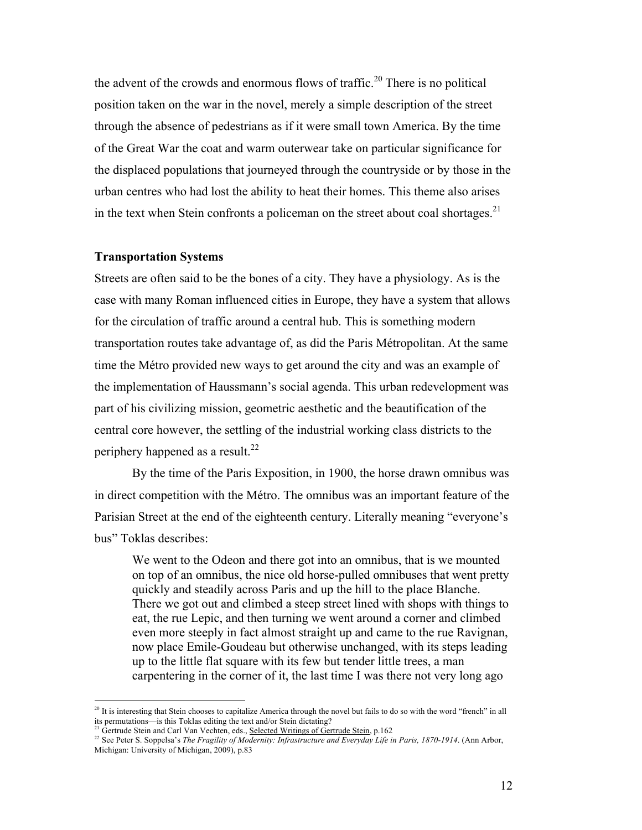the advent of the crowds and enormous flows of traffic.<sup>20</sup> There is no political position taken on the war in the novel, merely a simple description of the street through the absence of pedestrians as if it were small town America. By the time of the Great War the coat and warm outerwear take on particular significance for the displaced populations that journeyed through the countryside or by those in the urban centres who had lost the ability to heat their homes. This theme also arises in the text when Stein confronts a policeman on the street about coal shortages.<sup>21</sup>

#### **Transportation Systems**

Streets are often said to be the bones of a city. They have a physiology. As is the case with many Roman influenced cities in Europe, they have a system that allows for the circulation of traffic around a central hub. This is something modern transportation routes take advantage of, as did the Paris Métropolitan. At the same time the Métro provided new ways to get around the city and was an example of the implementation of Haussmann's social agenda. This urban redevelopment was part of his civilizing mission, geometric aesthetic and the beautification of the central core however, the settling of the industrial working class districts to the periphery happened as a result.<sup>22</sup>

By the time of the Paris Exposition, in 1900, the horse drawn omnibus was in direct competition with the Métro. The omnibus was an important feature of the Parisian Street at the end of the eighteenth century. Literally meaning "everyone's bus" Toklas describes:

We went to the Odeon and there got into an omnibus, that is we mounted on top of an omnibus, the nice old horse-pulled omnibuses that went pretty quickly and steadily across Paris and up the hill to the place Blanche. There we got out and climbed a steep street lined with shops with things to eat, the rue Lepic, and then turning we went around a corner and climbed even more steeply in fact almost straight up and came to the rue Ravignan, now place Emile-Goudeau but otherwise unchanged, with its steps leading up to the little flat square with its few but tender little trees, a man carpentering in the corner of it, the last time I was there not very long ago

<sup>&</sup>lt;sup>20</sup> It is interesting that Stein chooses to capitalize America through the novel but fails to do so with the word "french" in all its permutations—is this Toklas editing the text and/or Stein dictating?

<sup>&</sup>lt;sup>21</sup> Gertrude Stein and Carl Van Vechten, eds., Selected Writings of Gertrude Stein, p.162

<sup>&</sup>lt;sup>22</sup> See Peter S. Soppelsa's *The Fragility of Modernity: Infrastructure and Everyday Life in Paris, 1870-1914*. (Ann Arbor, Michigan: University of Michigan, 2009), p.83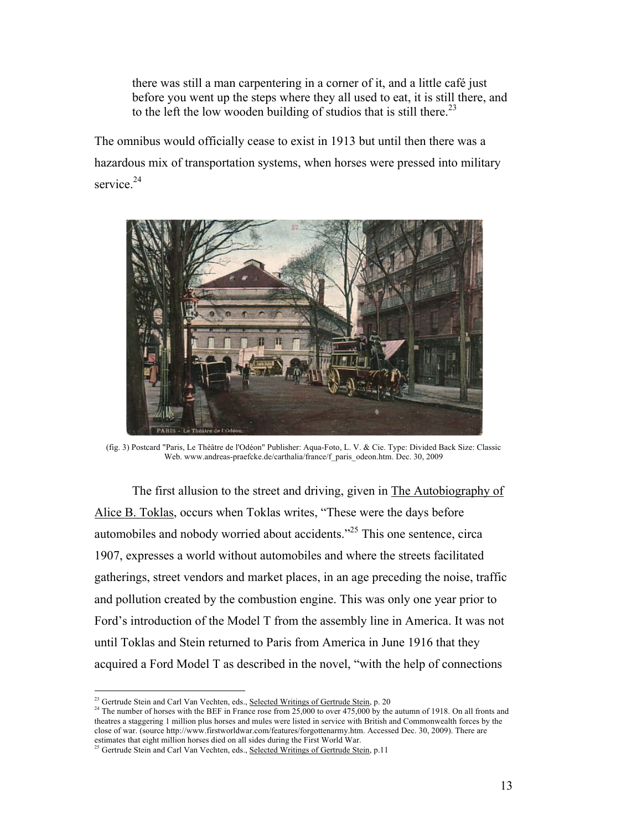there was still a man carpentering in a corner of it, and a little café just before you went up the steps where they all used to eat, it is still there, and to the left the low wooden building of studios that is still there.<sup>23</sup>

The omnibus would officially cease to exist in 1913 but until then there was a hazardous mix of transportation systems, when horses were pressed into military service. $24$ 



(fig. 3) Postcard "Paris, Le Théâtre de l'Odéon" Publisher: Aqua-Foto, L. V. & Cie. Type: Divided Back Size: Classic Web. www.andreas-praefcke.de/carthalia/france/f\_paris\_odeon.htm. Dec. 30, 2009

The first allusion to the street and driving, given in The Autobiography of Alice B. Toklas, occurs when Toklas writes, "These were the days before automobiles and nobody worried about accidents."25 This one sentence, circa 1907, expresses a world without automobiles and where the streets facilitated gatherings, street vendors and market places, in an age preceding the noise, traffic and pollution created by the combustion engine. This was only one year prior to Ford's introduction of the Model T from the assembly line in America. It was not until Toklas and Stein returned to Paris from America in June 1916 that they acquired a Ford Model T as described in the novel, "with the help of connections

<sup>&</sup>lt;sup>23</sup> Gertrude Stein and Carl Van Vechten, eds., Selected Writings of Gertrude Stein, p. 20

<sup>&</sup>lt;sup>24</sup> The number of horses with the BEF in France rose from  $25,000$  to over  $475,000$  by the autumn of 1918. On all fronts and theatres a staggering 1 million plus horses and mules were listed in service with British and Commonwealth forces by the close of war. (source http://www.firstworldwar.com/features/forgottenarmy.htm. Accessed Dec. 30, 2009). There are estimates that eight million horses died on all sides during the First World War.

<sup>&</sup>lt;sup>25</sup> Gertrude Stein and Carl Van Vechten, eds., Selected Writings of Gertrude Stein, p.11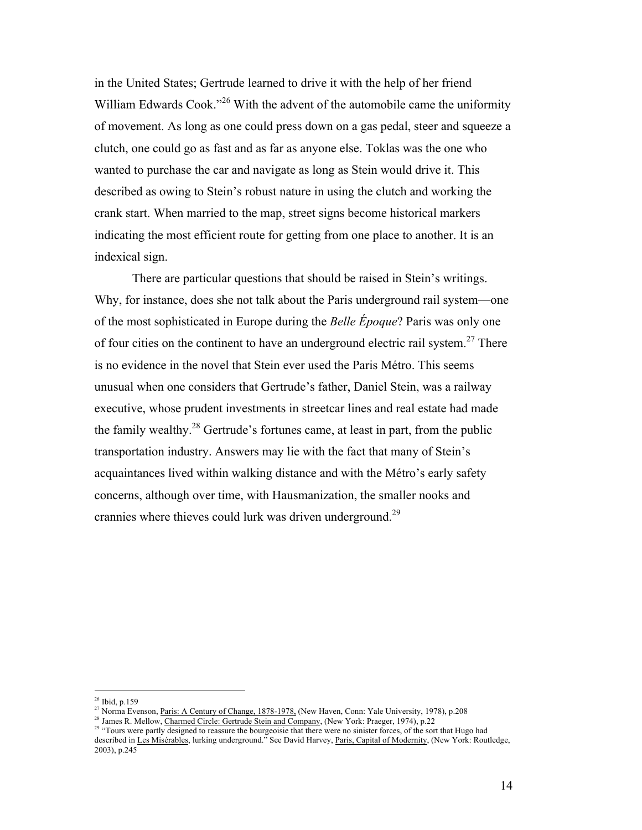in the United States; Gertrude learned to drive it with the help of her friend William Edwards Cook."<sup>26</sup> With the advent of the automobile came the uniformity of movement. As long as one could press down on a gas pedal, steer and squeeze a clutch, one could go as fast and as far as anyone else. Toklas was the one who wanted to purchase the car and navigate as long as Stein would drive it. This described as owing to Stein's robust nature in using the clutch and working the crank start. When married to the map, street signs become historical markers indicating the most efficient route for getting from one place to another. It is an indexical sign.

There are particular questions that should be raised in Stein's writings. Why, for instance, does she not talk about the Paris underground rail system—one of the most sophisticated in Europe during the *Belle Époque*? Paris was only one of four cities on the continent to have an underground electric rail system.<sup>27</sup> There is no evidence in the novel that Stein ever used the Paris Métro. This seems unusual when one considers that Gertrude's father, Daniel Stein, was a railway executive, whose prudent investments in streetcar lines and real estate had made the family wealthy.<sup>28</sup> Gertrude's fortunes came, at least in part, from the public transportation industry. Answers may lie with the fact that many of Stein's acquaintances lived within walking distance and with the Métro's early safety concerns, although over time, with Hausmanization, the smaller nooks and crannies where thieves could lurk was driven underground.<sup>29</sup>

 <sup>26</sup> Ibid, p.159

<sup>&</sup>lt;sup>27</sup> Norma Evenson, Paris: A Century of Change, 1878-1978, (New Haven, Conn: Yale University, 1978), p.208

<sup>&</sup>lt;sup>28</sup> James R. Mellow, Charmed Circle: Gertrude Stein and Company, (New York: Praeger, 1974), p.22

<sup>&</sup>lt;sup>29 "</sup>Tours were partly designed to reassure the bourgeoisie that there were no sinister forces, of the sort that Hugo had described in Les Misérables, lurking underground." See David Harvey, Paris, Capital of Modernity, (New York: Routledge, 2003), p.245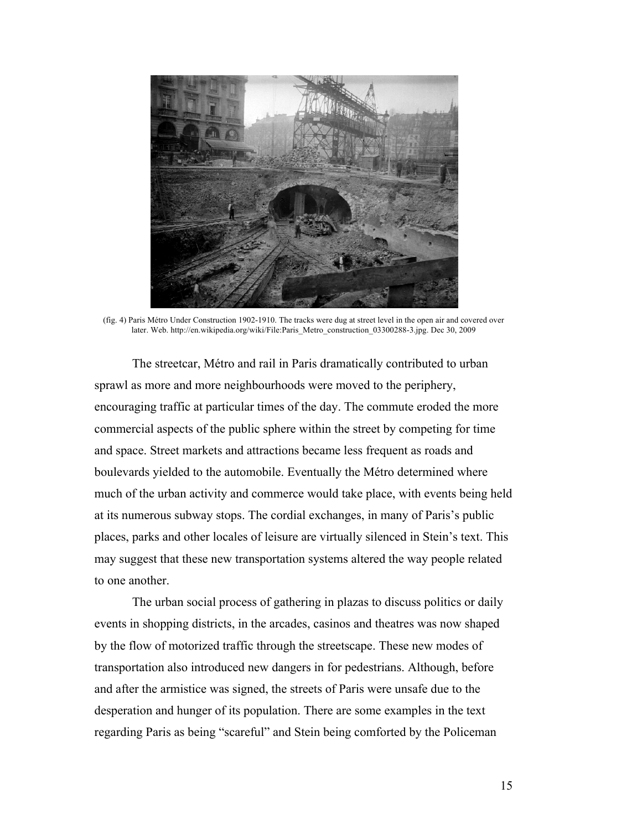

(fig. 4) Paris Métro Under Construction 1902-1910. The tracks were dug at street level in the open air and covered over later. Web. http://en.wikipedia.org/wiki/File:Paris\_Metro\_construction\_03300288-3.jpg. Dec 30, 2009

The streetcar, Métro and rail in Paris dramatically contributed to urban sprawl as more and more neighbourhoods were moved to the periphery, encouraging traffic at particular times of the day. The commute eroded the more commercial aspects of the public sphere within the street by competing for time and space. Street markets and attractions became less frequent as roads and boulevards yielded to the automobile. Eventually the Métro determined where much of the urban activity and commerce would take place, with events being held at its numerous subway stops. The cordial exchanges, in many of Paris's public places, parks and other locales of leisure are virtually silenced in Stein's text. This may suggest that these new transportation systems altered the way people related to one another.

The urban social process of gathering in plazas to discuss politics or daily events in shopping districts, in the arcades, casinos and theatres was now shaped by the flow of motorized traffic through the streetscape. These new modes of transportation also introduced new dangers in for pedestrians. Although, before and after the armistice was signed, the streets of Paris were unsafe due to the desperation and hunger of its population. There are some examples in the text regarding Paris as being "scareful" and Stein being comforted by the Policeman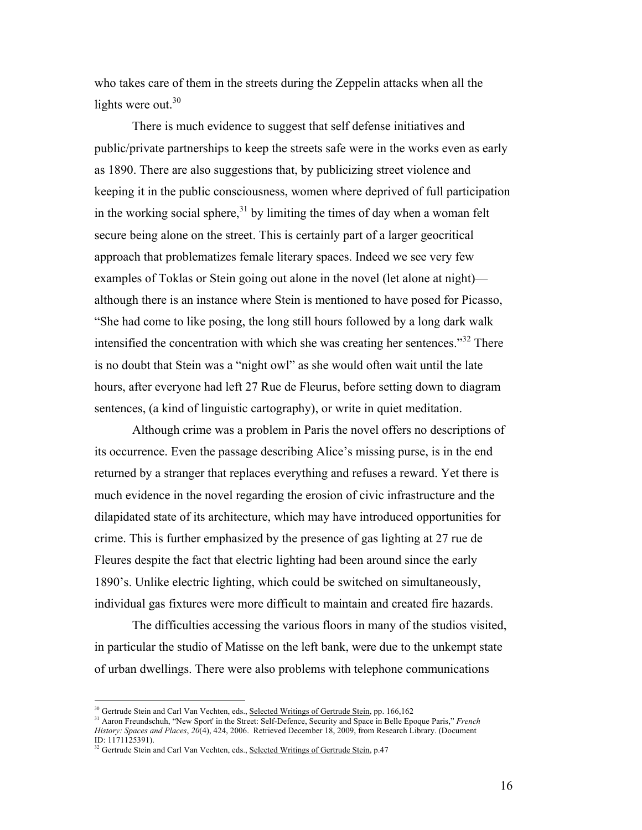who takes care of them in the streets during the Zeppelin attacks when all the lights were out. $30$ 

There is much evidence to suggest that self defense initiatives and public/private partnerships to keep the streets safe were in the works even as early as 1890. There are also suggestions that, by publicizing street violence and keeping it in the public consciousness, women where deprived of full participation in the working social sphere, $31$  by limiting the times of day when a woman felt secure being alone on the street. This is certainly part of a larger geocritical approach that problematizes female literary spaces. Indeed we see very few examples of Toklas or Stein going out alone in the novel (let alone at night) although there is an instance where Stein is mentioned to have posed for Picasso, "She had come to like posing, the long still hours followed by a long dark walk intensified the concentration with which she was creating her sentences.<sup>332</sup> There is no doubt that Stein was a "night owl" as she would often wait until the late hours, after everyone had left 27 Rue de Fleurus, before setting down to diagram sentences, (a kind of linguistic cartography), or write in quiet meditation.

Although crime was a problem in Paris the novel offers no descriptions of its occurrence. Even the passage describing Alice's missing purse, is in the end returned by a stranger that replaces everything and refuses a reward. Yet there is much evidence in the novel regarding the erosion of civic infrastructure and the dilapidated state of its architecture, which may have introduced opportunities for crime. This is further emphasized by the presence of gas lighting at 27 rue de Fleures despite the fact that electric lighting had been around since the early 1890's. Unlike electric lighting, which could be switched on simultaneously, individual gas fixtures were more difficult to maintain and created fire hazards.

The difficulties accessing the various floors in many of the studios visited, in particular the studio of Matisse on the left bank, were due to the unkempt state of urban dwellings. There were also problems with telephone communications

<sup>&</sup>lt;sup>30</sup> Gertrude Stein and Carl Van Vechten, eds., <u>Selected Writings of Gertrude Stein</u>, pp. 166,162

<sup>31</sup> Aaron Freundschuh, "New Sport' in the Street: Self-Defence, Security and Space in Belle Epoque Paris," *French History: Spaces and Places*, *20*(4), 424, 2006. Retrieved December 18, 2009, from Research Library. (Document ID: 1171125391).

<sup>&</sup>lt;sup>32</sup> Gertrude Stein and Carl Van Vechten, eds., Selected Writings of Gertrude Stein, p.47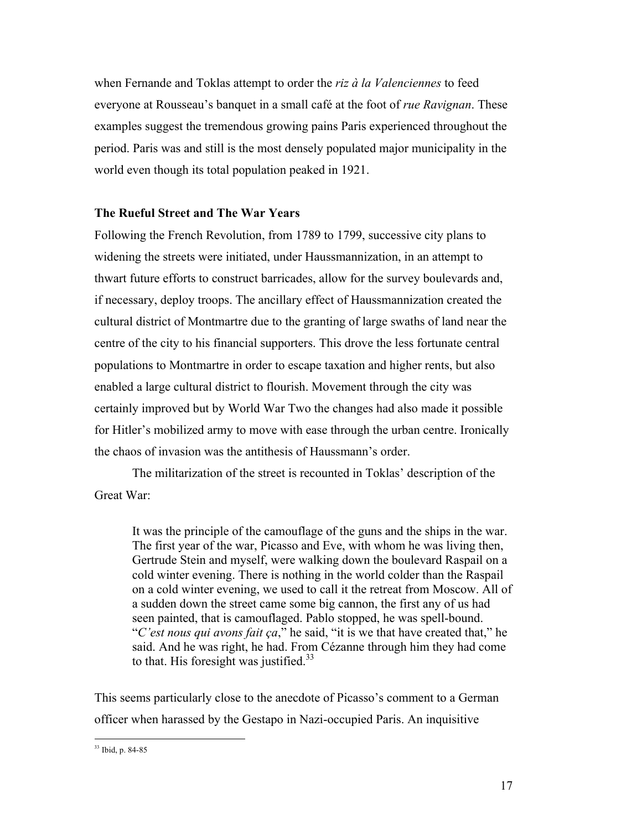when Fernande and Toklas attempt to order the *riz à la Valenciennes* to feed everyone at Rousseau's banquet in a small café at the foot of *rue Ravignan*. These examples suggest the tremendous growing pains Paris experienced throughout the period. Paris was and still is the most densely populated major municipality in the world even though its total population peaked in 1921.

# **The Rueful Street and The War Years**

Following the French Revolution, from 1789 to 1799, successive city plans to widening the streets were initiated, under Haussmannization, in an attempt to thwart future efforts to construct barricades, allow for the survey boulevards and, if necessary, deploy troops. The ancillary effect of Haussmannization created the cultural district of Montmartre due to the granting of large swaths of land near the centre of the city to his financial supporters. This drove the less fortunate central populations to Montmartre in order to escape taxation and higher rents, but also enabled a large cultural district to flourish. Movement through the city was certainly improved but by World War Two the changes had also made it possible for Hitler's mobilized army to move with ease through the urban centre. Ironically the chaos of invasion was the antithesis of Haussmann's order.

The militarization of the street is recounted in Toklas' description of the Great War:

It was the principle of the camouflage of the guns and the ships in the war. The first year of the war, Picasso and Eve, with whom he was living then, Gertrude Stein and myself, were walking down the boulevard Raspail on a cold winter evening. There is nothing in the world colder than the Raspail on a cold winter evening, we used to call it the retreat from Moscow. All of a sudden down the street came some big cannon, the first any of us had seen painted, that is camouflaged. Pablo stopped, he was spell-bound. "*C'est nous qui avons fait ça*," he said, "it is we that have created that," he said. And he was right, he had. From Cézanne through him they had come to that. His foresight was justified. $33$ 

This seems particularly close to the anecdote of Picasso's comment to a German officer when harassed by the Gestapo in Nazi-occupied Paris. An inquisitive

 <sup>33</sup> Ibid, p. 84-85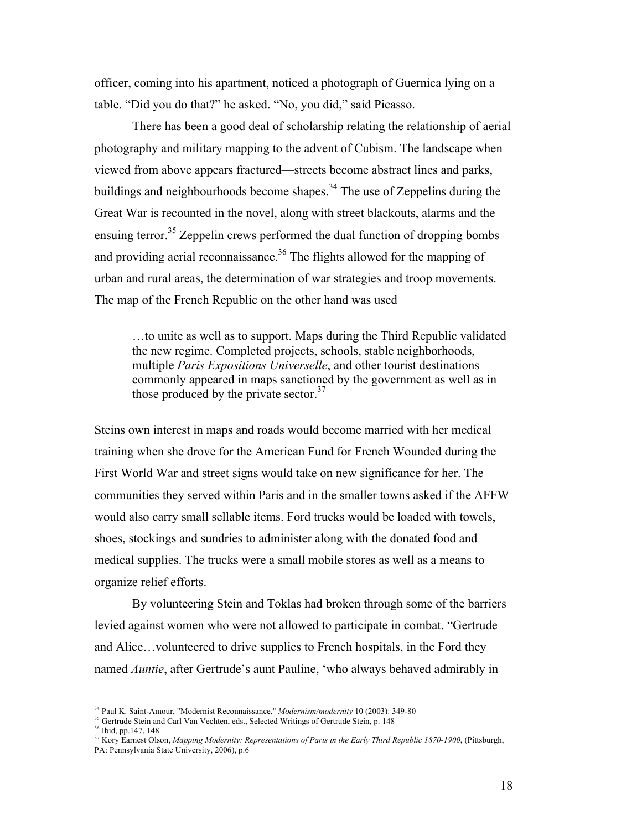officer, coming into his apartment, noticed a photograph of Guernica lying on a table. "Did you do that?" he asked. "No, you did," said Picasso.

There has been a good deal of scholarship relating the relationship of aerial photography and military mapping to the advent of Cubism. The landscape when viewed from above appears fractured—streets become abstract lines and parks, buildings and neighbourhoods become shapes.<sup>34</sup> The use of Zeppelins during the Great War is recounted in the novel, along with street blackouts, alarms and the ensuing terror.<sup>35</sup> Zeppelin crews performed the dual function of dropping bombs and providing aerial reconnaissance.<sup>36</sup> The flights allowed for the mapping of urban and rural areas, the determination of war strategies and troop movements. The map of the French Republic on the other hand was used

…to unite as well as to support. Maps during the Third Republic validated the new regime. Completed projects, schools, stable neighborhoods, multiple *Paris Expositions Universelle*, and other tourist destinations commonly appeared in maps sanctioned by the government as well as in those produced by the private sector. $37$ 

Steins own interest in maps and roads would become married with her medical training when she drove for the American Fund for French Wounded during the First World War and street signs would take on new significance for her. The communities they served within Paris and in the smaller towns asked if the AFFW would also carry small sellable items. Ford trucks would be loaded with towels, shoes, stockings and sundries to administer along with the donated food and medical supplies. The trucks were a small mobile stores as well as a means to organize relief efforts.

By volunteering Stein and Toklas had broken through some of the barriers levied against women who were not allowed to participate in combat. "Gertrude and Alice…volunteered to drive supplies to French hospitals, in the Ford they named *Auntie*, after Gertrude's aunt Pauline, 'who always behaved admirably in

 <sup>34</sup> Paul K. Saint-Amour, "Modernist Reconnaissance." *Modernism/modernity* 10 (2003): 349-80

<sup>&</sup>lt;sup>35</sup> Gertrude Stein and Carl Van Vechten, eds., Selected Writings of Gertrude Stein, p. 148

<sup>36</sup> Ibid, pp.147, 148

<sup>&</sup>lt;sup>37</sup> Kory Earnest Olson, *Mapping Modernity: Representations of Paris in the Early Third Republic 1870-1900*, (Pittsburgh, PA: Pennsylvania State University, 2006), p.6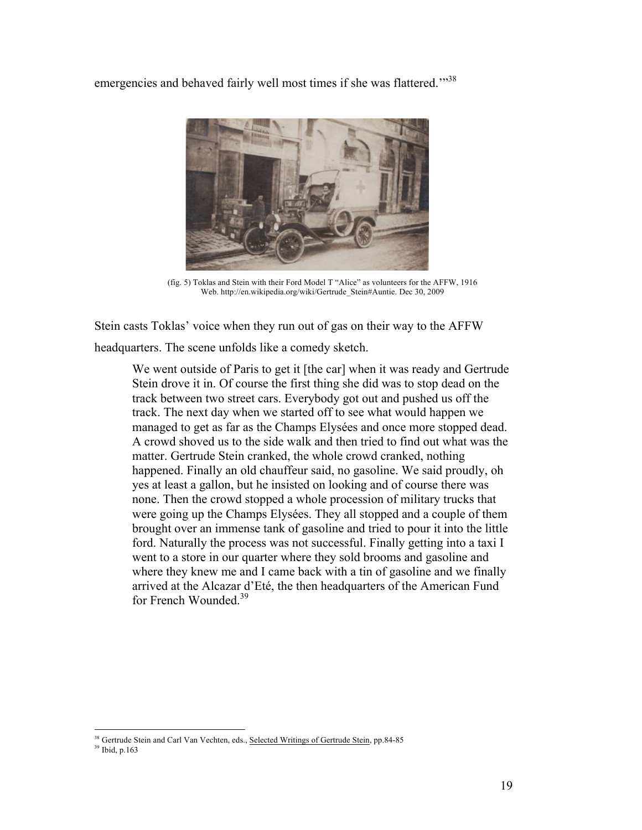emergencies and behaved fairly well most times if she was flattered."<sup>38</sup>



(fig. 5) Toklas and Stein with their Ford Model T "Alice" as volunteers for the AFFW, 1916 Web. http://en.wikipedia.org/wiki/Gertrude\_Stein#Auntie. Dec 30, 2009

Stein casts Toklas' voice when they run out of gas on their way to the AFFW headquarters. The scene unfolds like a comedy sketch.

We went outside of Paris to get it [the car] when it was ready and Gertrude Stein drove it in. Of course the first thing she did was to stop dead on the track between two street cars. Everybody got out and pushed us off the track. The next day when we started off to see what would happen we managed to get as far as the Champs Elysées and once more stopped dead. A crowd shoved us to the side walk and then tried to find out what was the matter. Gertrude Stein cranked, the whole crowd cranked, nothing happened. Finally an old chauffeur said, no gasoline. We said proudly, oh yes at least a gallon, but he insisted on looking and of course there was none. Then the crowd stopped a whole procession of military trucks that were going up the Champs Elysées. They all stopped and a couple of them brought over an immense tank of gasoline and tried to pour it into the little ford. Naturally the process was not successful. Finally getting into a taxi I went to a store in our quarter where they sold brooms and gasoline and where they knew me and I came back with a tin of gasoline and we finally arrived at the Alcazar d'Eté, the then headquarters of the American Fund for French Wounded.<sup>39</sup>

<sup>&</sup>lt;sup>38</sup> Gertrude Stein and Carl Van Vechten, eds., Selected Writings of Gertrude Stein, pp.84-85

<sup>39</sup> Ibid, p.163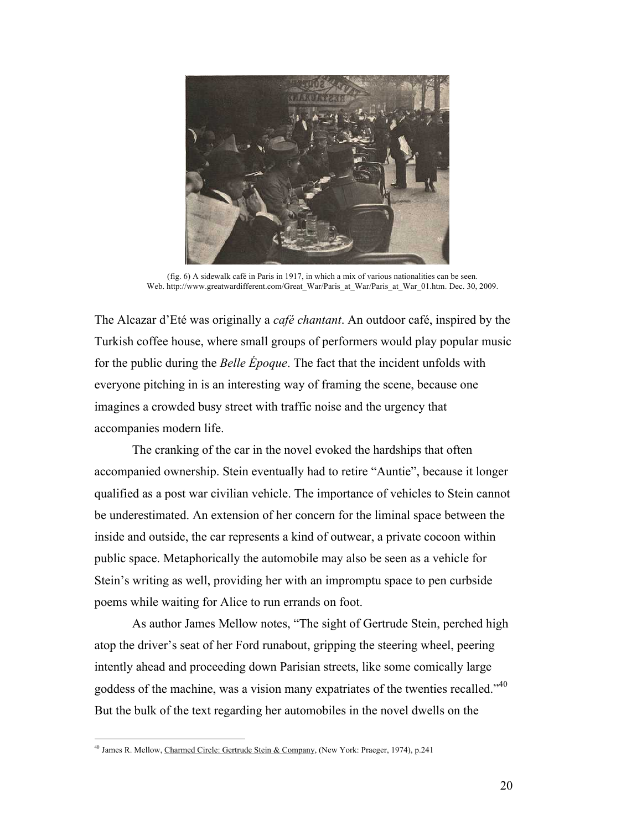

(fig. 6) A sidewalk café in Paris in 1917, in which a mix of various nationalities can be seen. Web. http://www.greatwardifferent.com/Great\_War/Paris\_at\_War/Paris\_at\_War\_01.htm. Dec. 30, 2009.

The Alcazar d'Eté was originally a *café chantant*. An outdoor café, inspired by the Turkish coffee house, where small groups of performers would play popular music for the public during the *Belle Époque*. The fact that the incident unfolds with everyone pitching in is an interesting way of framing the scene, because one imagines a crowded busy street with traffic noise and the urgency that accompanies modern life.

The cranking of the car in the novel evoked the hardships that often accompanied ownership. Stein eventually had to retire "Auntie", because it longer qualified as a post war civilian vehicle. The importance of vehicles to Stein cannot be underestimated. An extension of her concern for the liminal space between the inside and outside, the car represents a kind of outwear, a private cocoon within public space. Metaphorically the automobile may also be seen as a vehicle for Stein's writing as well, providing her with an impromptu space to pen curbside poems while waiting for Alice to run errands on foot.

As author James Mellow notes, "The sight of Gertrude Stein, perched high atop the driver's seat of her Ford runabout, gripping the steering wheel, peering intently ahead and proceeding down Parisian streets, like some comically large goddess of the machine, was a vision many expatriates of the twenties recalled."<sup>40</sup> But the bulk of the text regarding her automobiles in the novel dwells on the

<sup>&</sup>lt;sup>40</sup> James R. Mellow, Charmed Circle: Gertrude Stein & Company, (New York: Praeger, 1974), p.241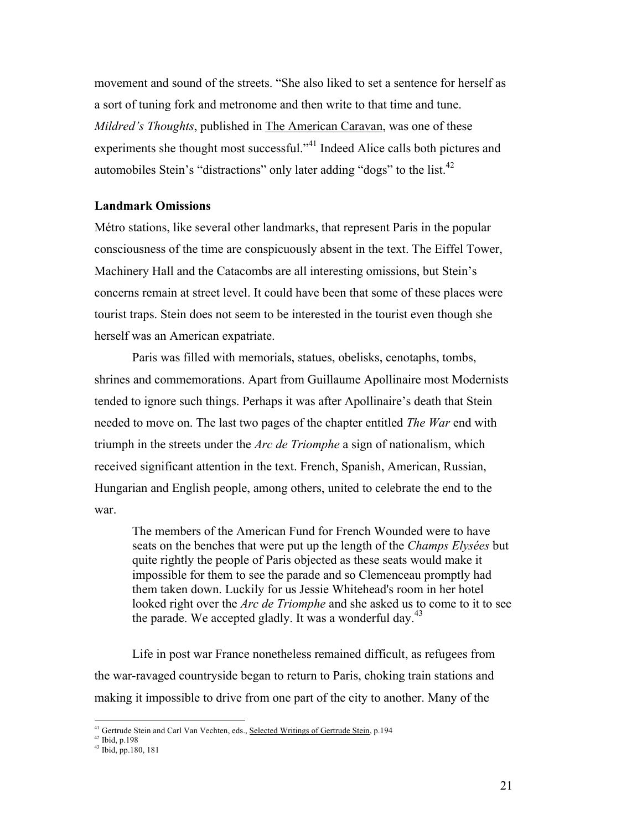movement and sound of the streets. "She also liked to set a sentence for herself as a sort of tuning fork and metronome and then write to that time and tune. *Mildred's Thoughts*, published in The American Caravan, was one of these experiments she thought most successful."<sup>41</sup> Indeed Alice calls both pictures and automobiles Stein's "distractions" only later adding "dogs" to the list.<sup>42</sup>

### **Landmark Omissions**

Métro stations, like several other landmarks, that represent Paris in the popular consciousness of the time are conspicuously absent in the text. The Eiffel Tower, Machinery Hall and the Catacombs are all interesting omissions, but Stein's concerns remain at street level. It could have been that some of these places were tourist traps. Stein does not seem to be interested in the tourist even though she herself was an American expatriate.

Paris was filled with memorials, statues, obelisks, cenotaphs, tombs, shrines and commemorations. Apart from Guillaume Apollinaire most Modernists tended to ignore such things. Perhaps it was after Apollinaire's death that Stein needed to move on. The last two pages of the chapter entitled *The War* end with triumph in the streets under the *Arc de Triomphe* a sign of nationalism, which received significant attention in the text. French, Spanish, American, Russian, Hungarian and English people, among others, united to celebrate the end to the war.

The members of the American Fund for French Wounded were to have seats on the benches that were put up the length of the *Champs Elysées* but quite rightly the people of Paris objected as these seats would make it impossible for them to see the parade and so Clemenceau promptly had them taken down. Luckily for us Jessie Whitehead's room in her hotel looked right over the *Arc de Triomphe* and she asked us to come to it to see the parade. We accepted gladly. It was a wonderful day. $43$ 

Life in post war France nonetheless remained difficult, as refugees from the war-ravaged countryside began to return to Paris, choking train stations and making it impossible to drive from one part of the city to another. Many of the

<sup>&</sup>lt;sup>41</sup> Gertrude Stein and Carl Van Vechten, eds., Selected Writings of Gertrude Stein, p.194

<sup>42</sup> Ibid, p.198

<sup>43</sup> Ibid, pp.180, 181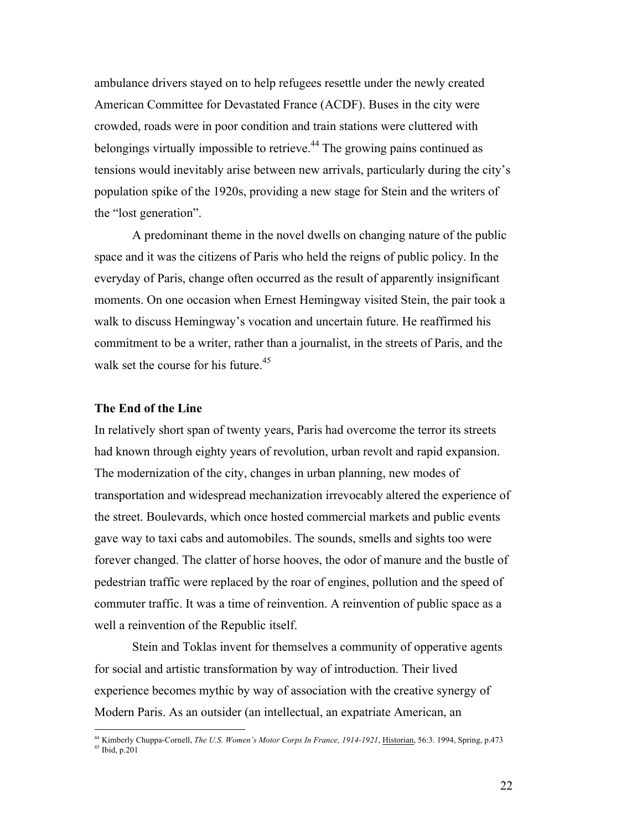ambulance drivers stayed on to help refugees resettle under the newly created American Committee for Devastated France (ACDF). Buses in the city were crowded, roads were in poor condition and train stations were cluttered with belongings virtually impossible to retrieve.<sup>44</sup> The growing pains continued as tensions would inevitably arise between new arrivals, particularly during the city's population spike of the 1920s, providing a new stage for Stein and the writers of the "lost generation".

A predominant theme in the novel dwells on changing nature of the public space and it was the citizens of Paris who held the reigns of public policy. In the everyday of Paris, change often occurred as the result of apparently insignificant moments. On one occasion when Ernest Hemingway visited Stein, the pair took a walk to discuss Hemingway's vocation and uncertain future. He reaffirmed his commitment to be a writer, rather than a journalist, in the streets of Paris, and the walk set the course for his future.  $45$ 

#### **The End of the Line**

In relatively short span of twenty years, Paris had overcome the terror its streets had known through eighty years of revolution, urban revolt and rapid expansion. The modernization of the city, changes in urban planning, new modes of transportation and widespread mechanization irrevocably altered the experience of the street. Boulevards, which once hosted commercial markets and public events gave way to taxi cabs and automobiles. The sounds, smells and sights too were forever changed. The clatter of horse hooves, the odor of manure and the bustle of pedestrian traffic were replaced by the roar of engines, pollution and the speed of commuter traffic. It was a time of reinvention. A reinvention of public space as a well a reinvention of the Republic itself.

Stein and Toklas invent for themselves a community of opperative agents for social and artistic transformation by way of introduction. Their lived experience becomes mythic by way of association with the creative synergy of Modern Paris. As an outsider (an intellectual, an expatriate American, an

 <sup>44</sup> Kimberly Chuppa-Cornell, *The U.S. Women's Motor Corps In France, 1914-1921*, Historian, 56:3. 1994, Spring, p.473 45 Ibid, p.201